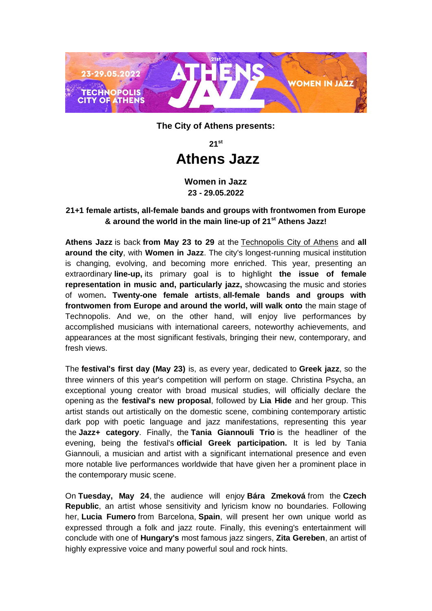

**The City of Athens presents:**

**21st**

# **Athens Jazz**

**Women in Jazz 23 - 29.05.2022**

## **21+1 female artists, all-female bands and groups with frontwomen from Europe & around the world in the main line-up of 21st Athens Jazz!**

**Athens Jazz** is back **from May 23 to 29** at the Technopolis [City of Athens](https://athens-technopolis.gr/index.php/el/) and **all around the city**, with **Women in Jazz**. The city's longest-running musical institution is changing, evolving, and becoming more enriched. This year, presenting an extraordinary **line-up,** its primary goal is to highlight **the issue of female representation in music and, particularly jazz,** showcasing the music and stories of women**. Twenty-one female artists**, **all-female bands and groups with frontwomen from Europe and around the world, will walk onto** the main stage of Technopolis. And we, on the other hand, will enjoy live performances by accomplished musicians with international careers, noteworthy achievements, and appearances at the most significant festivals, bringing their new, contemporary, and fresh views.

The **festival's first day (May 23)** is, as every year, dedicated to **Greek jazz**, so the three winners of this year's competition will perform on stage. Christina Psycha, an exceptional young creator with broad musical studies, will officially declare the opening as the **festival's new proposal**, followed by **Lia Hide** and her group. This artist stands out artistically on the domestic scene, combining contemporary artistic dark pop with poetic language and jazz manifestations, representing this year the **Jazz+ category**. Finally, the **Tania Giannouli Trio** is the headliner of the evening, being the festival's **official Greek participation.** It is led by Tania Giannouli, a musician and artist with a significant international presence and even more notable live performances worldwide that have given her a prominent place in the contemporary music scene.

On **Tuesday, May 24**, the audience will enjoy **Bára Zmeková** from the **Czech Republic**, an artist whose sensitivity and lyricism know no boundaries. Following her, **Lucia Fumero** from Barcelona, **Spain**, will present her own unique world as expressed through a folk and jazz route. Finally, this evening's entertainment will conclude with one of **Hungary's** most famous jazz singers, **Zita Gereben**, an artist of highly expressive voice and many powerful soul and rock hints.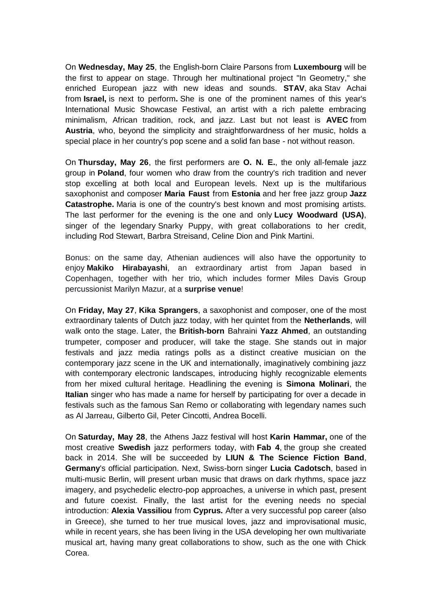On **Wednesday, May 25**, the English-born Claire Parsons from **Luxembourg** will be the first to appear on stage. Through her multinational project "In Geometry," she enriched European jazz with new ideas and sounds. **STAV**, aka Stav Achai from **Israel,** is next to perform**.** She is one of the prominent names of this year's International Music Showcase Festival, an artist with a rich palette embracing minimalism, African tradition, rock, and jazz. Last but not least is **AVEC** from **Austria**, who, beyond the simplicity and straightforwardness of her music, holds a special place in her country's pop scene and a solid fan base - not without reason.

On **Thursday, May 26**, the first performers are **O. N. E.**, the only all-female jazz group in **Poland**, four women who draw from the country's rich tradition and never stop excelling at both local and European levels. Next up is the multifarious saxophonist and composer **Maria Faust** from **Estonia** and her free jazz group **Jazz Catastrophe.** Maria is one of the country's best known and most promising artists. The last performer for the evening is the one and only **Lucy Woodward (USA)**, singer of the legendary Snarky Puppy, with great collaborations to her credit, including Rod Stewart, Barbra Streisand, Celine Dion and Pink Martini.

Bonus: on the same day, Athenian audiences will also have the opportunity to enjoy **Makiko Hirabayashi**, an extraordinary artist from Japan based in Copenhagen, together with her trio, which includes former Miles Davis Group percussionist Marilyn Mazur, at a **surprise venue**!

On **Friday, May 27**, **Kika Sprangers**, a saxophonist and composer, one of the most extraordinary talents of Dutch jazz today, with her quintet from the **Netherlands**, will walk onto the stage. Later, the **British-born** Bahraini **Yazz Ahmed**, an outstanding trumpeter, composer and producer, will take the stage. She stands out in major festivals and jazz media ratings polls as a distinct creative musician on the contemporary jazz scene in the UK and internationally, imaginatively combining jazz with contemporary electronic landscapes, introducing highly recognizable elements from her mixed cultural heritage. Headlining the evening is **Simona Molinari**, the **Italian** singer who has made a name for herself by participating for over a decade in festivals such as the famous San Remo or collaborating with legendary names such as Al Jarreau, Gilberto Gil, Peter Cincotti, Andrea Bocelli.

On **Saturday, May 28**, the Athens Jazz festival will host **Karin Hammar,** one of the most creative **Swedish** jazz performers today, with **Fab 4**, the group she created back in 2014. She will be succeeded by **LIUN & The Science Fiction Band**, **Germany**'s official participation. Next, Swiss-born singer **Lucia Cadotsch**, based in multi-music Berlin, will present urban music that draws on dark rhythms, space jazz imagery, and psychedelic electro-pop approaches, a universe in which past, present and future coexist. Finally, the last artist for the evening needs no special introduction: **Alexia Vassiliou** from **Cyprus.** After a very successful pop career (also in Greece), she turned to her true musical loves, jazz and improvisational music, while in recent years, she has been living in the USA developing her own multivariate musical art, having many great collaborations to show, such as the one with Chick Corea.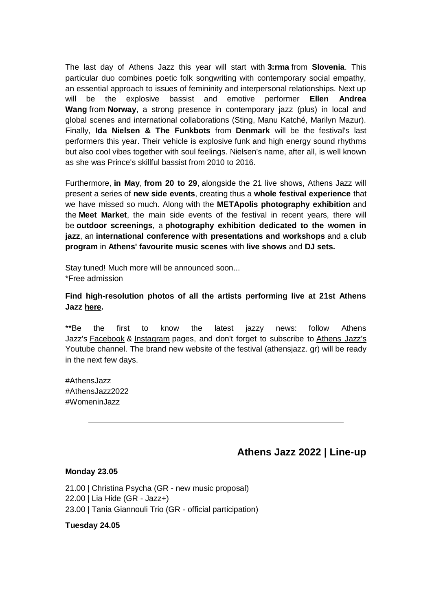The last day of Athens Jazz this year will start with **3:rma** from **Slovenia**. This particular duo combines poetic folk songwriting with contemporary social empathy, an essential approach to issues of femininity and interpersonal relationships. Next up will be the explosive bassist and emotive performer **Ellen Andrea Wang** from **Norway**, a strong presence in contemporary jazz (plus) in local and global scenes and international collaborations (Sting, Manu Katché, Marilyn Mazur). Finally, **Ida Nielsen & The Funkbots** from **Denmark** will be the festival's last performers this year. Their vehicle is explosive funk and high energy sound rhythms but also cool vibes together with soul feelings. Nielsen's name, after all, is well known as she was Prince's skillful bassist from 2010 to 2016.

Furthermore, **in May**, **from 20 to 29**, alongside the 21 live shows, Athens Jazz will present a series of **new side events**, creating thus a **whole festival experience** that we have missed so much. Along with the **METApolis photography exhibition** and the **Meet Market**, the main side events of the festival in recent years, there will be **outdoor screenings**, a **photography exhibition dedicated to the women in jazz**, an **international conference with presentations and workshops** and a **club program** in **Athens' favourite music scenes** with **live shows** and **DJ sets.**

Stay tuned! Much more will be announced soon... \*Free admission

**Find high-resolution photos of all the artists performing live at 21st Athens Jazz [here.](https://www.dropbox.com/home/Athens%20Jazz%202022/Artists%20Photos)**

\*\*Be the first to know the latest jazzy news: follow Athens Jazz's [Facebook](https://www.facebook.com/AthensTechnopolisJazzFestival) & [Instagram](https://www.instagram.com/athenstechnopolisjazzfest/?hl=el) pages, and don't forget to subscribe to [Athens Jazz's](https://www.youtube.com/channel/UCkZb9qw2pUHnNSn07UO6q6g)  [Youtube channel.](https://www.youtube.com/channel/UCkZb9qw2pUHnNSn07UO6q6g) The brand new website of the festival [\(athensjazz. gr\)](https://athensjazz.gr/) will be ready in the next few days.

#AthensJazz #AthensJazz2022 #WomeninJazz

# **Athens Jazz 2022 | Line-up**

#### **Monday 23.05**

21.00 | Christina Psycha (GR - new music proposal) 22.00 | Lia Hide (GR - Jazz+) 23.00 | Tania Giannouli Trio (GR - official participation)

**Tuesday 24.05**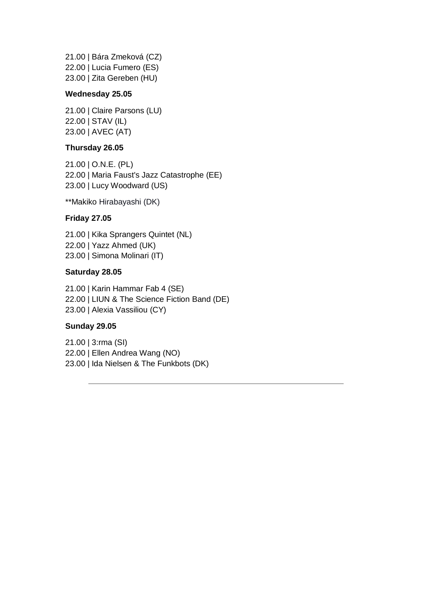21.00 | Bára Zmeková (CZ) 22.00 | Lucia Fumero (ES) 23.00 | Zita Gereben (HU)

#### **Wednesday 25.05**

21.00 | Claire Parsons (LU) 22.00 | STAV (IL) 23.00 | AVEC (AT)

#### **Thursday 26.05**

21.00 | O.N.E. (PL) 22.00 | Maria Faust's Jazz Catastrophe (EE) 23.00 | Lucy Woodward (US)

\*\*Makiko Hirabayashi (DK)

#### **Friday 27.05**

21.00 | Kika Sprangers Quintet (NL) 22.00 | Yazz Ahmed (UK) 23.00 | Simona Molinari (IT)

#### **Saturday 28.05**

21.00 | Karin Hammar Fab 4 (SE) 22.00 | LIUN & The Science Fiction Band (DE) 23.00 | Alexia Vassiliou (CY)

#### **Sunday 29.05**

21.00 | 3:rma (SI) 22.00 | Ellen Andrea Wang (NO) 23.00 | Ida Nielsen & The Funkbots (DK)